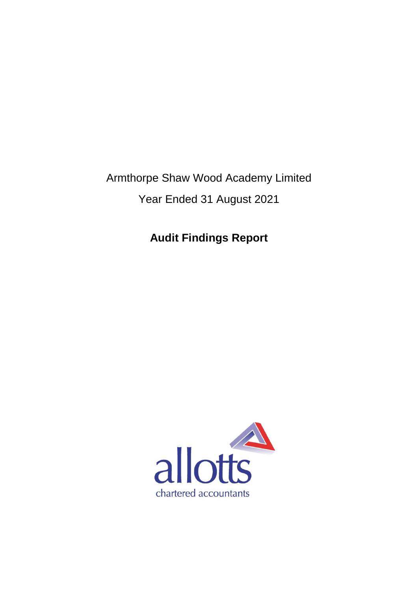Armthorpe Shaw Wood Academy Limited Year Ended 31 August 2021

**Audit Findings Report**

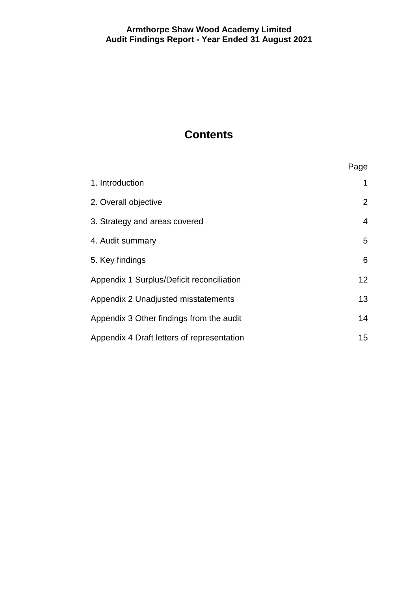# **Contents**

|                                            | Page           |
|--------------------------------------------|----------------|
| 1. Introduction                            | 1              |
| 2. Overall objective                       | $\overline{2}$ |
| 3. Strategy and areas covered              | 4              |
| 4. Audit summary                           | 5              |
| 5. Key findings                            | 6              |
| Appendix 1 Surplus/Deficit reconciliation  | 12             |
| Appendix 2 Unadjusted misstatements        | 13             |
| Appendix 3 Other findings from the audit   | 14             |
| Appendix 4 Draft letters of representation | 15             |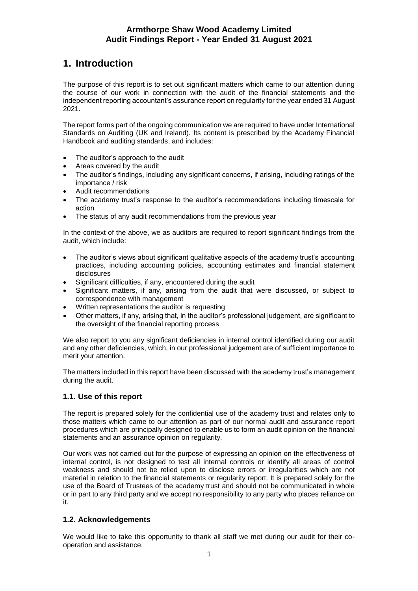# **1. Introduction**

The purpose of this report is to set out significant matters which came to our attention during the course of our work in connection with the audit of the financial statements and the independent reporting accountant's assurance report on regularity for the year ended 31 August 2021.

The report forms part of the ongoing communication we are required to have under International Standards on Auditing (UK and Ireland). Its content is prescribed by the Academy Financial Handbook and auditing standards, and includes:

- The auditor's approach to the audit
- Areas covered by the audit
- The auditor's findings, including any significant concerns, if arising, including ratings of the importance / risk
- Audit recommendations
- The academy trust's response to the auditor's recommendations including timescale for action
- The status of any audit recommendations from the previous year

In the context of the above, we as auditors are required to report significant findings from the audit, which include:

- The auditor's views about significant qualitative aspects of the academy trust's accounting practices, including accounting policies, accounting estimates and financial statement disclosures
- Significant difficulties, if any, encountered during the audit
- Significant matters, if any, arising from the audit that were discussed, or subject to correspondence with management
- Written representations the auditor is requesting
- Other matters, if any, arising that, in the auditor's professional judgement, are significant to the oversight of the financial reporting process

We also report to you any significant deficiencies in internal control identified during our audit and any other deficiencies, which, in our professional judgement are of sufficient importance to merit your attention.

The matters included in this report have been discussed with the academy trust's management during the audit.

## **1.1. Use of this report**

The report is prepared solely for the confidential use of the academy trust and relates only to those matters which came to our attention as part of our normal audit and assurance report procedures which are principally designed to enable us to form an audit opinion on the financial statements and an assurance opinion on regularity.

Our work was not carried out for the purpose of expressing an opinion on the effectiveness of internal control, is not designed to test all internal controls or identify all areas of control weakness and should not be relied upon to disclose errors or irregularities which are not material in relation to the financial statements or regularity report. It is prepared solely for the use of the Board of Trustees of the academy trust and should not be communicated in whole or in part to any third party and we accept no responsibility to any party who places reliance on it.

## **1.2. Acknowledgements**

We would like to take this opportunity to thank all staff we met during our audit for their cooperation and assistance.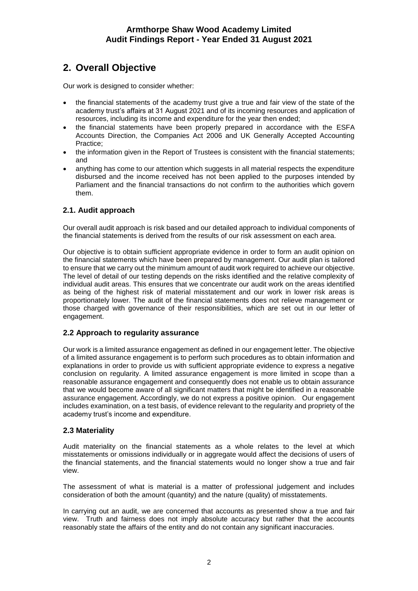# **2. Overall Objective**

Our work is designed to consider whether:

- the financial statements of the academy trust give a true and fair view of the state of the academy trust's affairs at 31 August 2021 and of its incoming resources and application of resources, including its income and expenditure for the year then ended;
- the financial statements have been properly prepared in accordance with the ESFA Accounts Direction, the Companies Act 2006 and UK Generally Accepted Accounting Practice;
- the information given in the Report of Trustees is consistent with the financial statements; and
- anything has come to our attention which suggests in all material respects the expenditure disbursed and the income received has not been applied to the purposes intended by Parliament and the financial transactions do not confirm to the authorities which govern them.

## **2.1. Audit approach**

Our overall audit approach is risk based and our detailed approach to individual components of the financial statements is derived from the results of our risk assessment on each area.

Our objective is to obtain sufficient appropriate evidence in order to form an audit opinion on the financial statements which have been prepared by management. Our audit plan is tailored to ensure that we carry out the minimum amount of audit work required to achieve our objective. The level of detail of our testing depends on the risks identified and the relative complexity of individual audit areas. This ensures that we concentrate our audit work on the areas identified as being of the highest risk of material misstatement and our work in lower risk areas is proportionately lower. The audit of the financial statements does not relieve management or those charged with governance of their responsibilities, which are set out in our letter of engagement.

## **2.2 Approach to regularity assurance**

Our work is a limited assurance engagement as defined in our engagement letter. The objective of a limited assurance engagement is to perform such procedures as to obtain information and explanations in order to provide us with sufficient appropriate evidence to express a negative conclusion on regularity. A limited assurance engagement is more limited in scope than a reasonable assurance engagement and consequently does not enable us to obtain assurance that we would become aware of all significant matters that might be identified in a reasonable assurance engagement. Accordingly, we do not express a positive opinion. Our engagement includes examination, on a test basis, of evidence relevant to the regularity and propriety of the academy trust's income and expenditure.

## **2.3 Materiality**

Audit materiality on the financial statements as a whole relates to the level at which misstatements or omissions individually or in aggregate would affect the decisions of users of the financial statements, and the financial statements would no longer show a true and fair view.

The assessment of what is material is a matter of professional judgement and includes consideration of both the amount (quantity) and the nature (quality) of misstatements.

In carrying out an audit, we are concerned that accounts as presented show a true and fair view. Truth and fairness does not imply absolute accuracy but rather that the accounts reasonably state the affairs of the entity and do not contain any significant inaccuracies.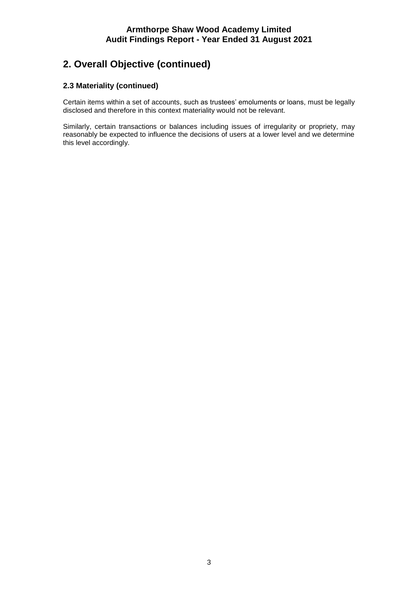# **2. Overall Objective (continued)**

## **2.3 Materiality (continued)**

Certain items within a set of accounts, such as trustees' emoluments or loans, must be legally disclosed and therefore in this context materiality would not be relevant.

Similarly, certain transactions or balances including issues of irregularity or propriety, may reasonably be expected to influence the decisions of users at a lower level and we determine this level accordingly.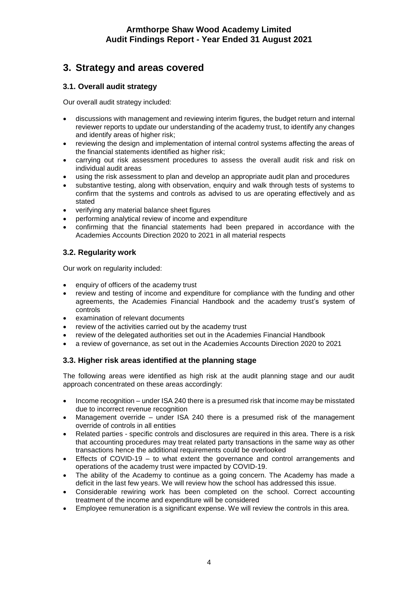# **3. Strategy and areas covered**

## **3.1. Overall audit strategy**

Our overall audit strategy included:

- discussions with management and reviewing interim figures, the budget return and internal reviewer reports to update our understanding of the academy trust, to identify any changes and identify areas of higher risk;
- reviewing the design and implementation of internal control systems affecting the areas of the financial statements identified as higher risk;
- carrying out risk assessment procedures to assess the overall audit risk and risk on individual audit areas
- using the risk assessment to plan and develop an appropriate audit plan and procedures
- substantive testing, along with observation, enquiry and walk through tests of systems to confirm that the systems and controls as advised to us are operating effectively and as stated
- verifying any material balance sheet figures
- performing analytical review of income and expenditure
- confirming that the financial statements had been prepared in accordance with the Academies Accounts Direction 2020 to 2021 in all material respects

# **3.2. Regularity work**

Our work on regularity included:

- enquiry of officers of the academy trust
- review and testing of income and expenditure for compliance with the funding and other agreements, the Academies Financial Handbook and the academy trust's system of controls
- examination of relevant documents
- review of the activities carried out by the academy trust
- review of the delegated authorities set out in the Academies Financial Handbook
- a review of governance, as set out in the Academies Accounts Direction 2020 to 2021

## **3.3. Higher risk areas identified at the planning stage**

The following areas were identified as high risk at the audit planning stage and our audit approach concentrated on these areas accordingly:

- Income recognition under ISA 240 there is a presumed risk that income may be misstated due to incorrect revenue recognition
- Management override under ISA 240 there is a presumed risk of the management override of controls in all entities
- Related parties specific controls and disclosures are required in this area. There is a risk that accounting procedures may treat related party transactions in the same way as other transactions hence the additional requirements could be overlooked
- Effects of COVID-19 to what extent the governance and control arrangements and operations of the academy trust were impacted by COVID-19.
- The ability of the Academy to continue as a going concern. The Academy has made a deficit in the last few years. We will review how the school has addressed this issue.
- Considerable rewiring work has been completed on the school. Correct accounting treatment of the income and expenditure will be considered
- Employee remuneration is a significant expense. We will review the controls in this area.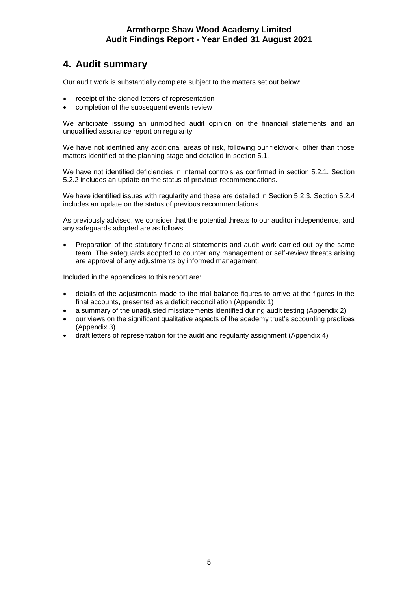# **4. Audit summary**

Our audit work is substantially complete subject to the matters set out below:

- receipt of the signed letters of representation
- completion of the subsequent events review

We anticipate issuing an unmodified audit opinion on the financial statements and an unqualified assurance report on regularity.

We have not identified any additional areas of risk, following our fieldwork, other than those matters identified at the planning stage and detailed in section 5.1.

We have not identified deficiencies in internal controls as confirmed in section 5.2.1. Section 5.2.2 includes an update on the status of previous recommendations.

We have identified issues with regularity and these are detailed in Section 5.2.3. Section 5.2.4 includes an update on the status of previous recommendations

As previously advised, we consider that the potential threats to our auditor independence, and any safeguards adopted are as follows:

 Preparation of the statutory financial statements and audit work carried out by the same team. The safeguards adopted to counter any management or self-review threats arising are approval of any adjustments by informed management.

Included in the appendices to this report are:

- details of the adjustments made to the trial balance figures to arrive at the figures in the final accounts, presented as a deficit reconciliation (Appendix 1)
- a summary of the unadjusted misstatements identified during audit testing (Appendix 2)
- our views on the significant qualitative aspects of the academy trust's accounting practices (Appendix 3)
- draft letters of representation for the audit and regularity assignment (Appendix 4)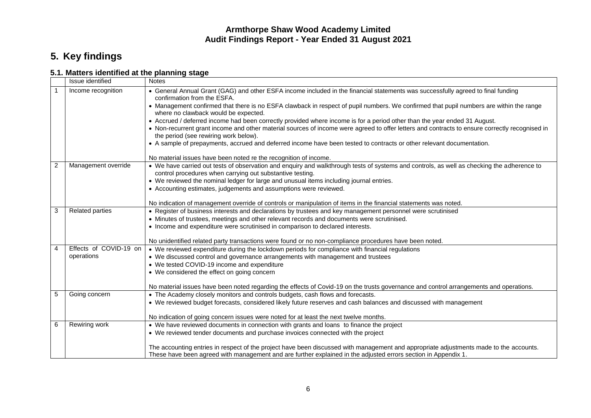# **5. Key findings**

# **5.1. Matters identified at the planning stage**

|                | Issue identified       | <b>Notes</b>                                                                                                                                                                                            |  |  |  |
|----------------|------------------------|---------------------------------------------------------------------------------------------------------------------------------------------------------------------------------------------------------|--|--|--|
|                | Income recognition     | • General Annual Grant (GAG) and other ESFA income included in the financial statements was successfully agreed to final funding<br>confirmation from the ESFA.                                         |  |  |  |
|                |                        | • Management confirmed that there is no ESFA clawback in respect of pupil numbers. We confirmed that pupil numbers are within the range<br>where no clawback would be expected.                         |  |  |  |
|                |                        | • Accrued / deferred income had been correctly provided where income is for a period other than the year ended 31 August.                                                                               |  |  |  |
|                |                        | • Non-recurrent grant income and other material sources of income were agreed to offer letters and contracts to ensure correctly recognised in<br>the period (see rewiring work below).                 |  |  |  |
|                |                        | • A sample of prepayments, accrued and deferred income have been tested to contracts or other relevant documentation.                                                                                   |  |  |  |
|                |                        | No material issues have been noted re the recognition of income.                                                                                                                                        |  |  |  |
| $\overline{2}$ | Management override    | • We have carried out tests of observation and enquiry and walkthrough tests of systems and controls, as well as checking the adherence to<br>control procedures when carrying out substantive testing. |  |  |  |
|                |                        | • We reviewed the nominal ledger for large and unusual items including journal entries.                                                                                                                 |  |  |  |
|                |                        | • Accounting estimates, judgements and assumptions were reviewed.                                                                                                                                       |  |  |  |
|                |                        |                                                                                                                                                                                                         |  |  |  |
|                |                        | No indication of management override of controls or manipulation of items in the financial statements was noted.                                                                                        |  |  |  |
| 3              | <b>Related parties</b> | • Register of business interests and declarations by trustees and key management personnel were scrutinised                                                                                             |  |  |  |
|                |                        | • Minutes of trustees, meetings and other relevant records and documents were scrutinised.                                                                                                              |  |  |  |
|                |                        | • Income and expenditure were scrutinised in comparison to declared interests.                                                                                                                          |  |  |  |
|                |                        | No unidentified related party transactions were found or no non-compliance procedures have been noted.                                                                                                  |  |  |  |
| 4              | Effects of COVID-19 on | • We reviewed expenditure during the lockdown periods for compliance with financial regulations                                                                                                         |  |  |  |
|                | operations             | • We discussed control and governance arrangements with management and trustees                                                                                                                         |  |  |  |
|                |                        | • We tested COVID-19 income and expenditure                                                                                                                                                             |  |  |  |
|                |                        | • We considered the effect on going concern                                                                                                                                                             |  |  |  |
|                |                        | No material issues have been noted regarding the effects of Covid-19 on the trusts governance and control arrangements and operations.                                                                  |  |  |  |
| 5              | Going concern          | • The Academy closely monitors and controls budgets, cash flows and forecasts.                                                                                                                          |  |  |  |
|                |                        | • We reviewed budget forecasts, considered likely future reserves and cash balances and discussed with management                                                                                       |  |  |  |
|                |                        |                                                                                                                                                                                                         |  |  |  |
|                |                        | No indication of going concern issues were noted for at least the next twelve months.                                                                                                                   |  |  |  |
| 6              | Rewiring work          | • We have reviewed documents in connection with grants and loans to finance the project                                                                                                                 |  |  |  |
|                |                        | • We reviewed tender documents and purchase invoices connected with the project                                                                                                                         |  |  |  |
|                |                        | The accounting entries in respect of the project have been discussed with management and appropriate adjustments made to the accounts.                                                                  |  |  |  |
|                |                        | These have been agreed with management and are further explained in the adjusted errors section in Appendix 1.                                                                                          |  |  |  |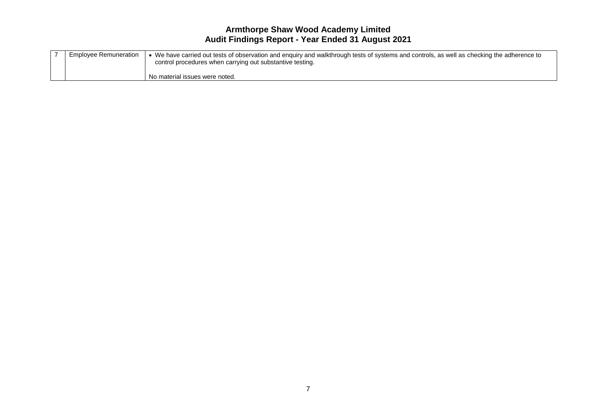| <b>Employee Remuneration</b> | • We have carried out tests of observation and enquiry and walkthrough tests of systems and controls, as well as checking the adherence to<br>control procedures when carrying out substantive testing. |
|------------------------------|---------------------------------------------------------------------------------------------------------------------------------------------------------------------------------------------------------|
|                              | No material issues were noted.                                                                                                                                                                          |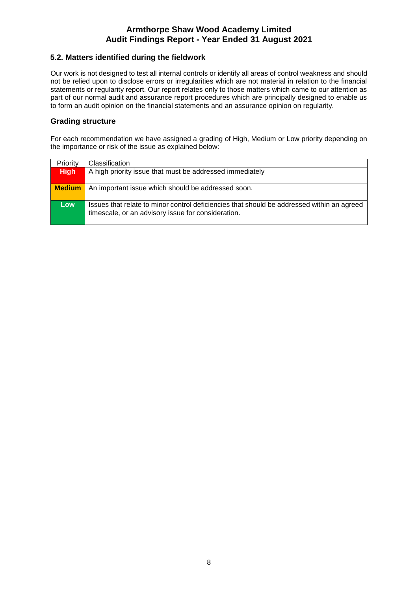## **5.2. Matters identified during the fieldwork**

Our work is not designed to test all internal controls or identify all areas of control weakness and should not be relied upon to disclose errors or irregularities which are not material in relation to the financial statements or regularity report. Our report relates only to those matters which came to our attention as part of our normal audit and assurance report procedures which are principally designed to enable us to form an audit opinion on the financial statements and an assurance opinion on regularity.

## **Grading structure**

For each recommendation we have assigned a grading of High, Medium or Low priority depending on the importance or risk of the issue as explained below:

| Priority      | Classification                                                                                                                                   |
|---------------|--------------------------------------------------------------------------------------------------------------------------------------------------|
| <b>High</b>   | A high priority issue that must be addressed immediately                                                                                         |
| <b>Medium</b> | An important issue which should be addressed soon.                                                                                               |
| Low           | Issues that relate to minor control deficiencies that should be addressed within an agreed<br>timescale, or an advisory issue for consideration. |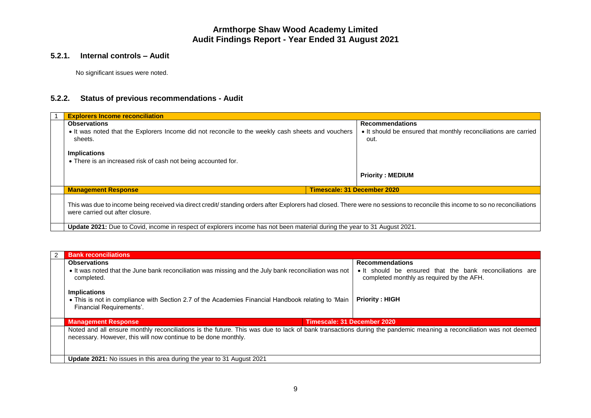## **5.2.1. Internal controls – Audit**

No significant issues were noted.

# **5.2.2. Status of previous recommendations - Audit**

| <b>Explorers Income reconciliation</b>                                                                                                                                                                           |                                                                         |
|------------------------------------------------------------------------------------------------------------------------------------------------------------------------------------------------------------------|-------------------------------------------------------------------------|
| <b>Observations</b>                                                                                                                                                                                              | <b>Recommendations</b>                                                  |
| • It was noted that the Explorers Income did not reconcile to the weekly cash sheets and vouchers<br>sheets.                                                                                                     | • It should be ensured that monthly reconciliations are carried<br>out. |
| <b>Implications</b>                                                                                                                                                                                              |                                                                         |
| • There is an increased risk of cash not being accounted for.                                                                                                                                                    |                                                                         |
|                                                                                                                                                                                                                  | <b>Priority: MEDIUM</b>                                                 |
| <b>Management Response</b>                                                                                                                                                                                       | Timescale: 31 December 2020                                             |
| This was due to income being received via direct credit/ standing orders after Explorers had closed. There were no sessions to reconcile this income to so no reconciliations<br>were carried out after closure. |                                                                         |
| <b>Update 2021:</b> Due to Covid, income in respect of explorers income has not been material during the year to 31 August 2021.                                                                                 |                                                                         |

| <b>Bank reconciliations</b>                                                                                                                                                                                                         |                                                                                                       |
|-------------------------------------------------------------------------------------------------------------------------------------------------------------------------------------------------------------------------------------|-------------------------------------------------------------------------------------------------------|
| <b>Observations</b>                                                                                                                                                                                                                 | <b>Recommendations</b>                                                                                |
| • It was noted that the June bank reconciliation was missing and the July bank reconciliation was not<br>completed.                                                                                                                 | • It should be ensured that the bank reconciliations are<br>completed monthly as required by the AFH. |
| <b>Implications</b>                                                                                                                                                                                                                 |                                                                                                       |
| • This is not in compliance with Section 2.7 of the Academies Financial Handbook relating to 'Main<br>Financial Requirements'.                                                                                                      | <b>Priority: HIGH</b>                                                                                 |
| Timescale: 31 December 2020<br><b>Management Response</b>                                                                                                                                                                           |                                                                                                       |
| Noted and all ensure monthly reconciliations is the future. This was due to lack of bank transactions during the pandemic meaning a reconciliation was not deemed<br>necessary. However, this will now continue to be done monthly. |                                                                                                       |
| Update 2021: No issues in this area during the year to 31 August 2021                                                                                                                                                               |                                                                                                       |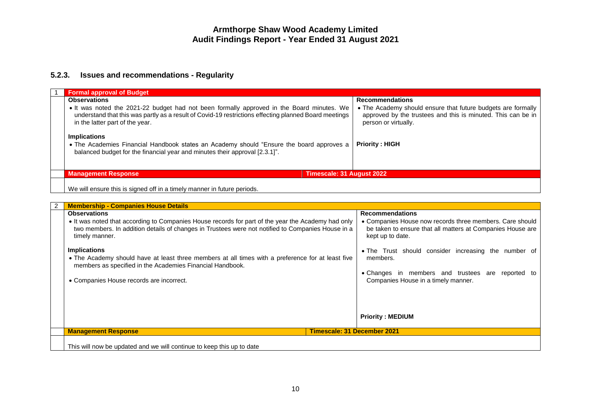# **5.2.3. Issues and recommendations - Regularity**

| <b>Formal approval of Budget</b>                                                                                                                                                                                                      |                                                                                                                                                      |
|---------------------------------------------------------------------------------------------------------------------------------------------------------------------------------------------------------------------------------------|------------------------------------------------------------------------------------------------------------------------------------------------------|
| <b>Observations</b>                                                                                                                                                                                                                   | <b>Recommendations</b>                                                                                                                               |
| • It was noted the 2021-22 budget had not been formally approved in the Board minutes. We<br>understand that this was partly as a result of Covid-19 restrictions effecting planned Board meetings<br>in the latter part of the year. | • The Academy should ensure that future budgets are formally<br>approved by the trustees and this is minuted. This can be in<br>person or virtually. |
| <b>Implications</b><br>• The Academies Financial Handbook states an Academy should "Ensure the board approves a<br>balanced budget for the financial year and minutes their approval [2.3.1]".                                        | <b>Priority: HIGH</b>                                                                                                                                |
| Timescale: 31 August 2022<br><b>Management Response</b>                                                                                                                                                                               |                                                                                                                                                      |
| We will ensure this is signed off in a timely manner in future periods.                                                                                                                                                               |                                                                                                                                                      |

| 2 | <b>Membership - Companies House Details</b>                                                                                                                                                                                                                                                                                                                                                                                                                                           |                                                                                                                                                                                                                                                                                                                                                                 |
|---|---------------------------------------------------------------------------------------------------------------------------------------------------------------------------------------------------------------------------------------------------------------------------------------------------------------------------------------------------------------------------------------------------------------------------------------------------------------------------------------|-----------------------------------------------------------------------------------------------------------------------------------------------------------------------------------------------------------------------------------------------------------------------------------------------------------------------------------------------------------------|
|   | <b>Observations</b><br>• It was noted that according to Companies House records for part of the year the Academy had only<br>two members. In addition details of changes in Trustees were not notified to Companies House in a<br>timely manner.<br><b>Implications</b><br>• The Academy should have at least three members at all times with a preference for at least five<br>members as specified in the Academies Financial Handbook.<br>• Companies House records are incorrect. | <b>Recommendations</b><br>• Companies House now records three members. Care should<br>be taken to ensure that all matters at Companies House are<br>kept up to date.<br>• The Trust should consider increasing the number of<br>members.<br>• Changes in members and trustees are reported to<br>Companies House in a timely manner.<br><b>Priority: MEDIUM</b> |
|   | <b>Management Response</b>                                                                                                                                                                                                                                                                                                                                                                                                                                                            | <b>Timescale: 31 December 2021</b>                                                                                                                                                                                                                                                                                                                              |
|   | This will now be updated and we will continue to keep this up to date                                                                                                                                                                                                                                                                                                                                                                                                                 |                                                                                                                                                                                                                                                                                                                                                                 |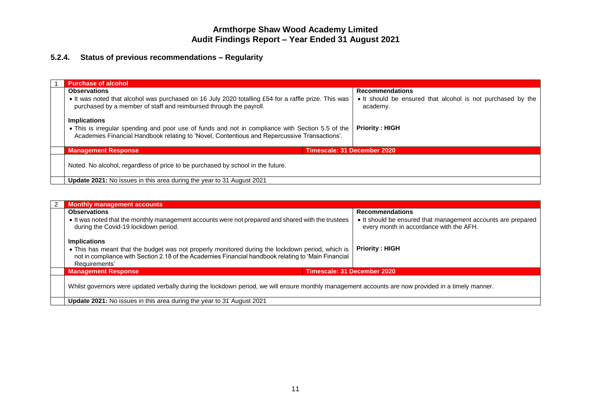# **5.2.4. Status of previous recommendations – Regularity**

| <b>Purchase of alcohol</b>                                                                                                                                                                       |                             |                                                                         |
|--------------------------------------------------------------------------------------------------------------------------------------------------------------------------------------------------|-----------------------------|-------------------------------------------------------------------------|
| <b>Observations</b>                                                                                                                                                                              |                             | <b>Recommendations</b>                                                  |
| • It was noted that alcohol was purchased on 16 July 2020 totalling £54 for a raffle prize. This was<br>purchased by a member of staff and reimbursed through the payroll.                       |                             | • It should be ensured that alcohol is not purchased by the<br>academy. |
| <b>Implications</b>                                                                                                                                                                              |                             |                                                                         |
| . This is irregular spending and poor use of funds and not in compliance with Section 5.5 of the<br>Academies Financial Handbook relating to 'Novel, Contentious and Repercussive Transactions'. |                             | <b>Priority: HIGH</b>                                                   |
| <b>Management Response</b>                                                                                                                                                                       | Timescale: 31 December 2020 |                                                                         |
| Noted. No alcohol, regardless of price to be purchased by school in the future.                                                                                                                  |                             |                                                                         |
| <b>Update 2021:</b> No issues in this area during the year to 31 August 2021                                                                                                                     |                             |                                                                         |

| <b>Monthly management accounts</b>                                                                                                                                                                                       |                                                                                                         |
|--------------------------------------------------------------------------------------------------------------------------------------------------------------------------------------------------------------------------|---------------------------------------------------------------------------------------------------------|
| <b>Observations</b>                                                                                                                                                                                                      | <b>Recommendations</b>                                                                                  |
| • It was noted that the monthly management accounts were not prepared and shared with the trustees<br>during the Covid-19 lockdown period.                                                                               | • It should be ensured that management accounts are prepared<br>every month in accordance with the AFH. |
| <b>Implications</b>                                                                                                                                                                                                      |                                                                                                         |
| • This has meant that the budget was not properly monitored during the lockdown period, which is<br>not in compliance with Section 2.18 of the Academies Financial handbook relating to 'Main Financial<br>Requirements' | <b>Priority: HIGH</b>                                                                                   |
| <b>Management Response</b>                                                                                                                                                                                               | Timescale: 31 December 2020                                                                             |
| Whilst governors were updated verbally during the lockdown period, we will ensure monthly management accounts are now provided in a timely manner.                                                                       |                                                                                                         |
| <b>Update 2021:</b> No issues in this area during the year to 31 August 2021                                                                                                                                             |                                                                                                         |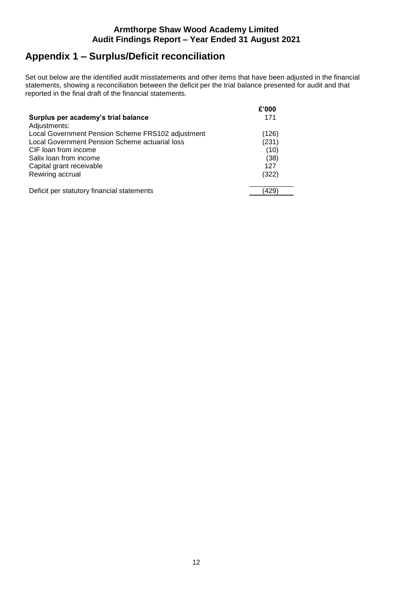# **Appendix 1 – Surplus/Deficit reconciliation**

Set out below are the identified audit misstatements and other items that have been adjusted in the financial statements, showing a reconciliation between the deficit per the trial balance presented for audit and that reported in the final draft of the financial statements.

| Surplus per academy's trial balance               | £'000<br>171 |
|---------------------------------------------------|--------------|
| Adjustments:                                      |              |
| Local Government Pension Scheme FRS102 adjustment | (126)        |
| Local Government Pension Scheme actuarial loss    | (231)        |
| CIF loan from income                              | (10)         |
| Salix loan from income                            | (38)         |
| Capital grant receivable                          | 127          |
| Rewiring accrual                                  | (322)        |
| Deficit per statutory financial statements        | 429          |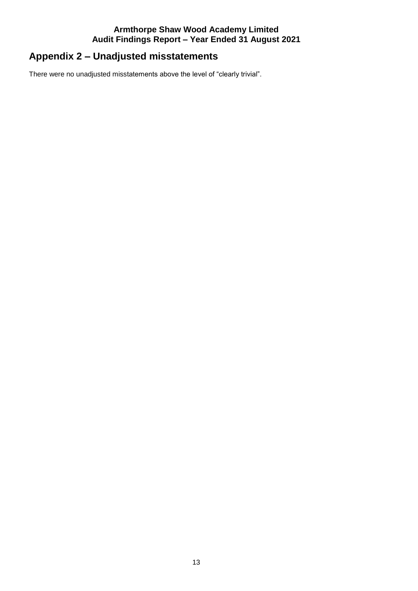# **Appendix 2 – Unadjusted misstatements**

There were no unadjusted misstatements above the level of "clearly trivial".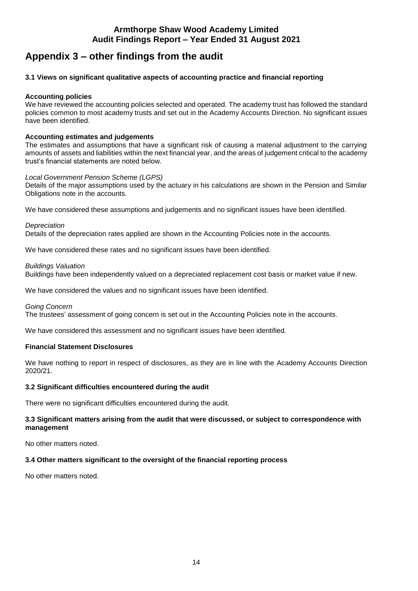# **Appendix 3 – other findings from the audit**

## **3.1 Views on significant qualitative aspects of accounting practice and financial reporting**

### **Accounting policies**

We have reviewed the accounting policies selected and operated. The academy trust has followed the standard policies common to most academy trusts and set out in the Academy Accounts Direction. No significant issues have been identified.

### **Accounting estimates and judgements**

The estimates and assumptions that have a significant risk of causing a material adjustment to the carrying amounts of assets and liabilities within the next financial year, and the areas of judgement critical to the academy trust's financial statements are noted below.

### *Local Government Pension Scheme (LGPS)*

Details of the major assumptions used by the actuary in his calculations are shown in the Pension and Similar Obligations note in the accounts.

We have considered these assumptions and judgements and no significant issues have been identified.

### *Depreciation*

Details of the depreciation rates applied are shown in the Accounting Policies note in the accounts.

We have considered these rates and no significant issues have been identified.

### *Buildings Valuation*

Buildings have been independently valued on a depreciated replacement cost basis or market value if new.

We have considered the values and no significant issues have been identified.

### *Going Concern*

The trustees' assessment of going concern is set out in the Accounting Policies note in the accounts.

We have considered this assessment and no significant issues have been identified.

### **Financial Statement Disclosures**

We have nothing to report in respect of disclosures, as they are in line with the Academy Accounts Direction 2020/21.

### **3.2 Significant difficulties encountered during the audit**

There were no significant difficulties encountered during the audit.

### **3.3 Significant matters arising from the audit that were discussed, or subject to correspondence with management**

No other matters noted.

### **3.4 Other matters significant to the oversight of the financial reporting process**

No other matters noted.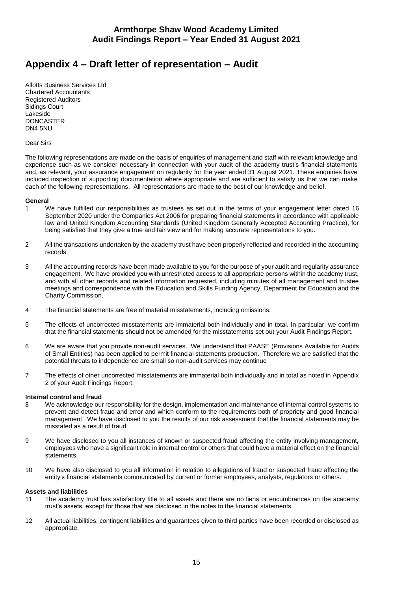# **Appendix 4 – Draft letter of representation – Audit**

Allotts Business Services Ltd Chartered Accountants Registered Auditors Sidings Court Lakeside DONCASTER DN4 5NU

Dear Sirs

The following representations are made on the basis of enquiries of management and staff with relevant knowledge and experience such as we consider necessary in connection with your audit of the academy trust's financial statements and, as relevant, your assurance engagement on regularity for the year ended 31 August 2021. These enquiries have included inspection of supporting documentation where appropriate and are sufficient to satisfy us that we can make each of the following representations. All representations are made to the best of our knowledge and belief.

#### **General**

- 1 We have fulfilled our responsibilities as trustees as set out in the terms of your engagement letter dated 16 September 2020 under the Companies Act 2006 for preparing financial statements in accordance with applicable law and United Kingdom Accounting Standards (United Kingdom Generally Accepted Accounting Practice), for being satisfied that they give a true and fair view and for making accurate representations to you.
- 2 All the transactions undertaken by the academy trust have been properly reflected and recorded in the accounting records.
- 3 All the accounting records have been made available to you for the purpose of your audit and regularity assurance engagement. We have provided you with unrestricted access to all appropriate persons within the academy trust, and with all other records and related information requested, including minutes of all management and trustee meetings and correspondence with the Education and Skills Funding Agency, Department for Education and the Charity Commission.
- 4 The financial statements are free of material misstatements, including omissions.
- 5 The effects of uncorrected misstatements are immaterial both individually and in total. In particular, we confirm that the financial statements should not be amended for the misstatements set out your Audit Findings Report.
- 6 We are aware that you provide non-audit services. We understand that PAASE (Provisions Available for Audits of Small Entities) has been applied to permit financial statements production. Therefore we are satisfied that the potential threats to independence are small so non-audit services may continue
- 7 The effects of other uncorrected misstatements are immaterial both individually and in total as noted in Appendix 2 of your Audit Findings Report.

#### **Internal control and fraud**

- 8 We acknowledge our responsibility for the design, implementation and maintenance of internal control systems to prevent and detect fraud and error and which conform to the requirements both of propriety and good financial management. We have disclosed to you the results of our risk assessment that the financial statements may be misstated as a result of fraud.
- 9 We have disclosed to you all instances of known or suspected fraud affecting the entity involving management, employees who have a significant role in internal control or others that could have a material effect on the financial statements.
- 10 We have also disclosed to you all information in relation to allegations of fraud or suspected fraud affecting the entity's financial statements communicated by current or former employees, analysts, regulators or others.

#### **Assets and liabilities**

- 11 The academy trust has satisfactory title to all assets and there are no liens or encumbrances on the academy trust's assets, except for those that are disclosed in the notes to the financial statements.
- 12 All actual liabilities, contingent liabilities and guarantees given to third parties have been recorded or disclosed as appropriate.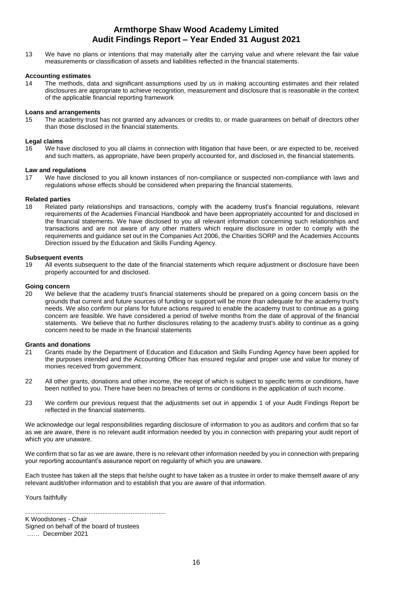13 We have no plans or intentions that may materially alter the carrying value and where relevant the fair value measurements or classification of assets and liabilities reflected in the financial statements.

#### **Accounting estimates**

14 The methods, data and significant assumptions used by us in making accounting estimates and their related disclosures are appropriate to achieve recognition, measurement and disclosure that is reasonable in the context of the applicable financial reporting framework

#### **Loans and arrangements**

15 The academy trust has not granted any advances or credits to, or made guarantees on behalf of directors other than those disclosed in the financial statements.

#### **Legal claims**

16 We have disclosed to you all claims in connection with litigation that have been, or are expected to be, received and such matters, as appropriate, have been properly accounted for, and disclosed in, the financial statements.

#### **Law and regulations**

17 We have disclosed to you all known instances of non-compliance or suspected non-compliance with laws and regulations whose effects should be considered when preparing the financial statements.

#### **Related parties**

18 Related party relationships and transactions, comply with the academy trust's financial regulations, relevant requirements of the Academies Financial Handbook and have been appropriately accounted for and disclosed in the financial statements. We have disclosed to you all relevant information concerning such relationships and transactions and are not aware of any other matters which require disclosure in order to comply with the requirements and guidance set out in the Companies Act 2006, the Charities SORP and the Academies Accounts Direction issued by the Education and Skills Funding Agency.

#### **Subsequent events**

19 All events subsequent to the date of the financial statements which require adjustment or disclosure have been properly accounted for and disclosed.

#### **Going concern**

20 We believe that the academy trust's financial statements should be prepared on a going concern basis on the grounds that current and future sources of funding or support will be more than adequate for the academy trust's needs. We also confirm our plans for future actions required to enable the academy trust to continue as a going concern are feasible. We have considered a period of twelve months from the date of approval of the financial statements. We believe that no further disclosures relating to the academy trust's ability to continue as a going concern need to be made in the financial statements

#### **Grants and donations**

- 21 Grants made by the Department of Education and Education and Skills Funding Agency have been applied for the purposes intended and the Accounting Officer has ensured regular and proper use and value for money of monies received from government.
- 22 All other grants, donations and other income, the receipt of which is subject to specific terms or conditions, have been notified to you. There have been no breaches of terms or conditions in the application of such income.
- 23 We confirm our previous request that the adjustments set out in appendix 1 of your Audit Findings Report be reflected in the financial statements.

We acknowledge our legal responsibilities regarding disclosure of information to you as auditors and confirm that so far as we are aware, there is no relevant audit information needed by you in connection with preparing your audit report of which you are unaware.

We confirm that so far as we are aware, there is no relevant other information needed by you in connection with preparing your reporting accountant's assurance report on regularity of which you are unaware.

Each trustee has taken all the steps that he/she ought to have taken as a trustee in order to make themself aware of any relevant audit/other information and to establish that you are aware of that information.

Yours faithfully

K Woodstones - Chair Signed on behalf of the board of trustees …… December 2021

................................................................................